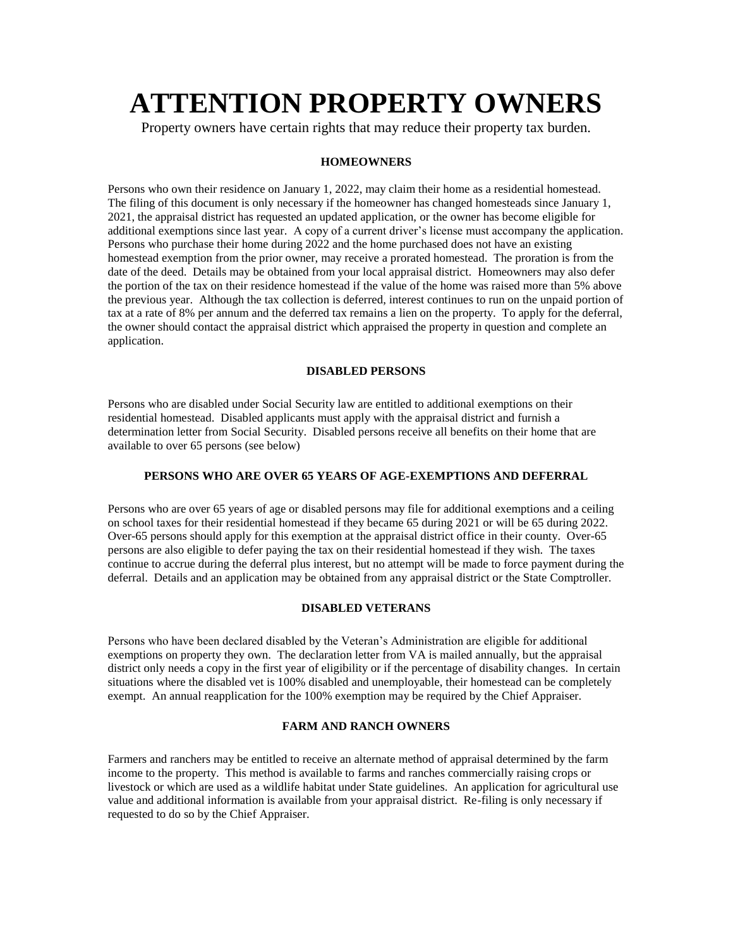# **ATTENTION PROPERTY OWNERS**

Property owners have certain rights that may reduce their property tax burden.

## **HOMEOWNERS**

Persons who own their residence on January 1, 2022, may claim their home as a residential homestead. The filing of this document is only necessary if the homeowner has changed homesteads since January 1, 2021, the appraisal district has requested an updated application, or the owner has become eligible for additional exemptions since last year. A copy of a current driver's license must accompany the application. Persons who purchase their home during 2022 and the home purchased does not have an existing homestead exemption from the prior owner, may receive a prorated homestead. The proration is from the date of the deed. Details may be obtained from your local appraisal district. Homeowners may also defer the portion of the tax on their residence homestead if the value of the home was raised more than 5% above the previous year. Although the tax collection is deferred, interest continues to run on the unpaid portion of tax at a rate of 8% per annum and the deferred tax remains a lien on the property. To apply for the deferral, the owner should contact the appraisal district which appraised the property in question and complete an application.

#### **DISABLED PERSONS**

Persons who are disabled under Social Security law are entitled to additional exemptions on their residential homestead. Disabled applicants must apply with the appraisal district and furnish a determination letter from Social Security. Disabled persons receive all benefits on their home that are available to over 65 persons (see below)

# **PERSONS WHO ARE OVER 65 YEARS OF AGE-EXEMPTIONS AND DEFERRAL**

Persons who are over 65 years of age or disabled persons may file for additional exemptions and a ceiling on school taxes for their residential homestead if they became 65 during 2021 or will be 65 during 2022. Over-65 persons should apply for this exemption at the appraisal district office in their county. Over-65 persons are also eligible to defer paying the tax on their residential homestead if they wish. The taxes continue to accrue during the deferral plus interest, but no attempt will be made to force payment during the deferral. Details and an application may be obtained from any appraisal district or the State Comptroller.

#### **DISABLED VETERANS**

Persons who have been declared disabled by the Veteran's Administration are eligible for additional exemptions on property they own. The declaration letter from VA is mailed annually, but the appraisal district only needs a copy in the first year of eligibility or if the percentage of disability changes. In certain situations where the disabled vet is 100% disabled and unemployable, their homestead can be completely exempt. An annual reapplication for the 100% exemption may be required by the Chief Appraiser.

#### **FARM AND RANCH OWNERS**

Farmers and ranchers may be entitled to receive an alternate method of appraisal determined by the farm income to the property. This method is available to farms and ranches commercially raising crops or livestock or which are used as a wildlife habitat under State guidelines. An application for agricultural use value and additional information is available from your appraisal district. Re-filing is only necessary if requested to do so by the Chief Appraiser.